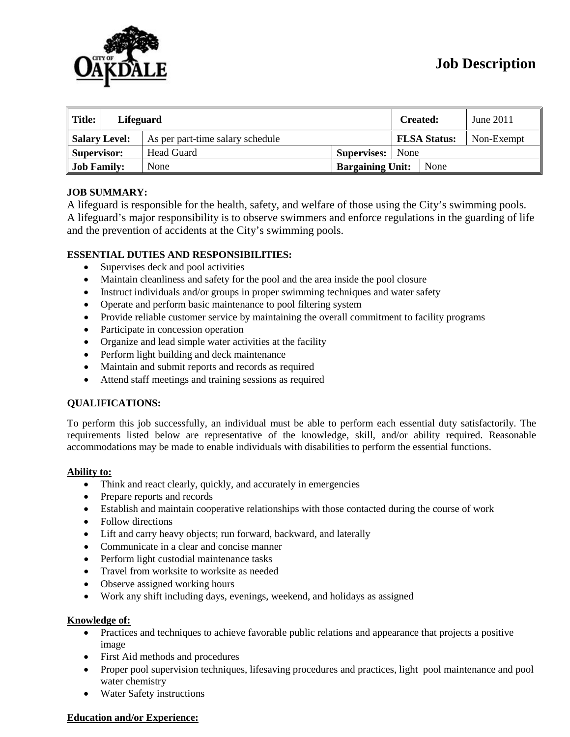

| $\parallel$ Title: | <b>Lifeguard</b> |                                  |                         | <b>Created:</b>     |      | June 2011  |
|--------------------|------------------|----------------------------------|-------------------------|---------------------|------|------------|
| Salary Level:      |                  | As per part-time salary schedule |                         | <b>FLSA Status:</b> |      | Non-Exempt |
| Supervisor:        |                  | Head Guard                       | <b>Supervises:</b> None |                     |      |            |
| <b>Job Family:</b> |                  | None                             | <b>Bargaining Unit:</b> |                     | None |            |

## **JOB SUMMARY:**

A lifeguard is responsible for the health, safety, and welfare of those using the City's swimming pools. A lifeguard's major responsibility is to observe swimmers and enforce regulations in the guarding of life and the prevention of accidents at the City's swimming pools.

## **ESSENTIAL DUTIES AND RESPONSIBILITIES:**

- Supervises deck and pool activities
- Maintain cleanliness and safety for the pool and the area inside the pool closure
- Instruct individuals and/or groups in proper swimming techniques and water safety
- Operate and perform basic maintenance to pool filtering system
- Provide reliable customer service by maintaining the overall commitment to facility programs
- Participate in concession operation
- Organize and lead simple water activities at the facility
- Perform light building and deck maintenance
- Maintain and submit reports and records as required
- Attend staff meetings and training sessions as required

### **QUALIFICATIONS:**

To perform this job successfully, an individual must be able to perform each essential duty satisfactorily. The requirements listed below are representative of the knowledge, skill, and/or ability required. Reasonable accommodations may be made to enable individuals with disabilities to perform the essential functions.

### **Ability to:**

- Think and react clearly, quickly, and accurately in emergencies
- Prepare reports and records
- Establish and maintain cooperative relationships with those contacted during the course of work
- Follow directions
- Lift and carry heavy objects; run forward, backward, and laterally
- Communicate in a clear and concise manner
- Perform light custodial maintenance tasks
- Travel from worksite to worksite as needed
- Observe assigned working hours
- Work any shift including days, evenings, weekend, and holidays as assigned

### **Knowledge of:**

- Practices and techniques to achieve favorable public relations and appearance that projects a positive image
- First Aid methods and procedures
- Proper pool supervision techniques, lifesaving procedures and practices, light pool maintenance and pool water chemistry
- Water Safety instructions

### **Education and/or Experience:**